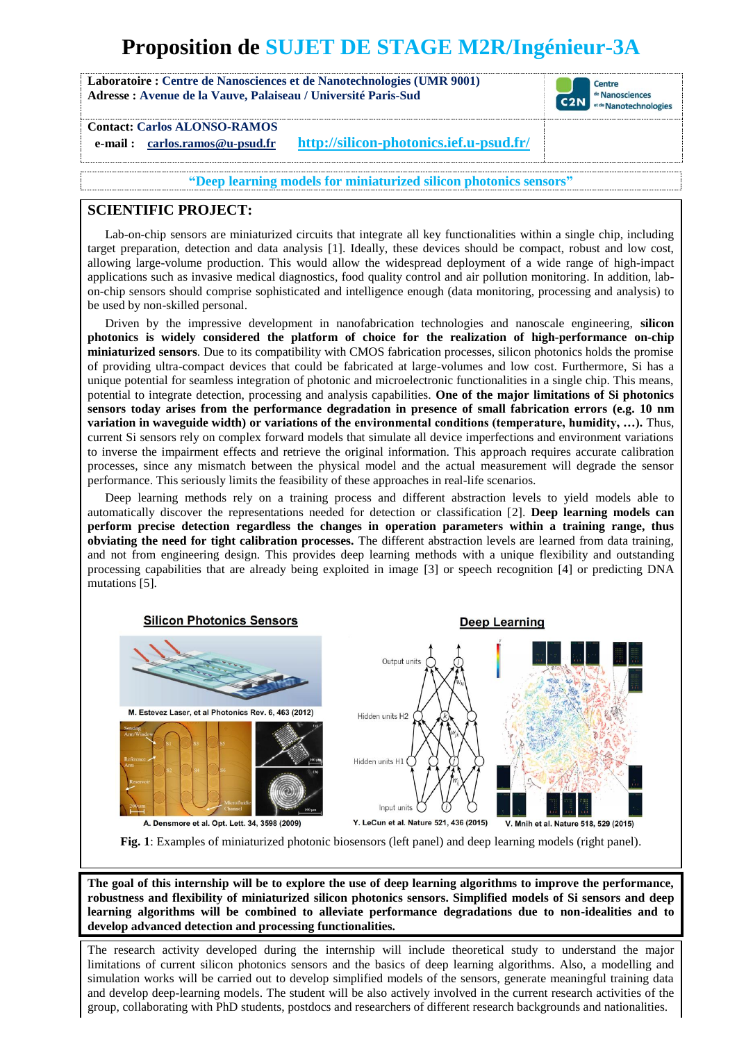# **Proposition de SUJET DE STAGE M2R/Ingénieur-3A**

**Laboratoire : Centre de Nanosciences et de Nanotechnologies (UMR 9001) Adresse : Avenue de la Vauve, Palaiseau / Université Paris-Sud**



**Contact: Carlos ALONSO-RAMOS**

**e-mail : carlos.ramos@u-psud.fr <http://silicon-photonics.ief.u-psud.fr/>**

**"Deep learning models for miniaturized silicon photonics sensors"**

## **SCIENTIFIC PROJECT:**

Lab-on-chip sensors are miniaturized circuits that integrate all key functionalities within a single chip, including target preparation, detection and data analysis [1]. Ideally, these devices should be compact, robust and low cost, allowing large-volume production. This would allow the widespread deployment of a wide range of high-impact applications such as invasive medical diagnostics, food quality control and air pollution monitoring. In addition, labon-chip sensors should comprise sophisticated and intelligence enough (data monitoring, processing and analysis) to be used by non-skilled personal.

Driven by the impressive development in nanofabrication technologies and nanoscale engineering, **silicon photonics is widely considered the platform of choice for the realization of high-performance on-chip miniaturized sensors**. Due to its compatibility with CMOS fabrication processes, silicon photonics holds the promise of providing ultra-compact devices that could be fabricated at large-volumes and low cost. Furthermore, Si has a unique potential for seamless integration of photonic and microelectronic functionalities in a single chip. This means, potential to integrate detection, processing and analysis capabilities. **One of the major limitations of Si photonics sensors today arises from the performance degradation in presence of small fabrication errors (e.g. 10 nm variation in waveguide width) or variations of the environmental conditions (temperature, humidity, …).** Thus, current Si sensors rely on complex forward models that simulate all device imperfections and environment variations to inverse the impairment effects and retrieve the original information. This approach requires accurate calibration processes, since any mismatch between the physical model and the actual measurement will degrade the sensor performance. This seriously limits the feasibility of these approaches in real-life scenarios.

Deep learning methods rely on a training process and different abstraction levels to yield models able to automatically discover the representations needed for detection or classification [2]. **Deep learning models can perform precise detection regardless the changes in operation parameters within a training range, thus obviating the need for tight calibration processes.** The different abstraction levels are learned from data training, and not from engineering design. This provides deep learning methods with a unique flexibility and outstanding processing capabilities that are already being exploited in image [3] or speech recognition [4] or predicting DNA mutations [5].



**Fig. 1**: Examples of miniaturized photonic biosensors (left panel) and deep learning models (right panel).

**The goal of this internship will be to explore the use of deep learning algorithms to improve the performance, robustness and flexibility of miniaturized silicon photonics sensors. Simplified models of Si sensors and deep learning algorithms will be combined to alleviate performance degradations due to non-idealities and to develop advanced detection and processing functionalities.**

The research activity developed during the internship will include theoretical study to understand the major limitations of current silicon photonics sensors and the basics of deep learning algorithms. Also, a modelling and simulation works will be carried out to develop simplified models of the sensors, generate meaningful training data and develop deep-learning models. The student will be also actively involved in the current research activities of the group, collaborating with PhD students, postdocs and researchers of different research backgrounds and nationalities.